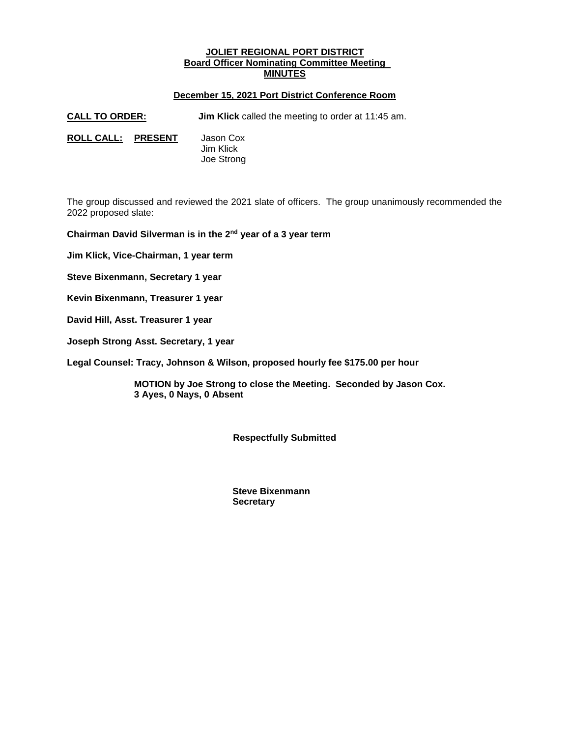# **JOLIET REGIONAL PORT DISTRICT Board Officer Nominating Committee Meeting MINUTES**

# **December 15, 2021 Port District Conference Room**

**CALL TO ORDER: Jim Klick** called the meeting to order at 11:45 am.

**ROLL CALL: PRESENT** Jason Cox

 Jim Klick Joe Strong

The group discussed and reviewed the 2021 slate of officers. The group unanimously recommended the 2022 proposed slate:

**Chairman David Silverman is in the 2nd year of a 3 year term**

**Jim Klick, Vice-Chairman, 1 year term**

**Steve Bixenmann, Secretary 1 year**

**Kevin Bixenmann, Treasurer 1 year**

**David Hill, Asst. Treasurer 1 year**

**Joseph Strong Asst. Secretary, 1 year**

**Legal Counsel: Tracy, Johnson & Wilson, proposed hourly fee \$175.00 per hour** 

**MOTION by Joe Strong to close the Meeting. Seconded by Jason Cox. 3 Ayes, 0 Nays, 0 Absent**

**Respectfully Submitted**

 **Steve Bixenmann Secretary**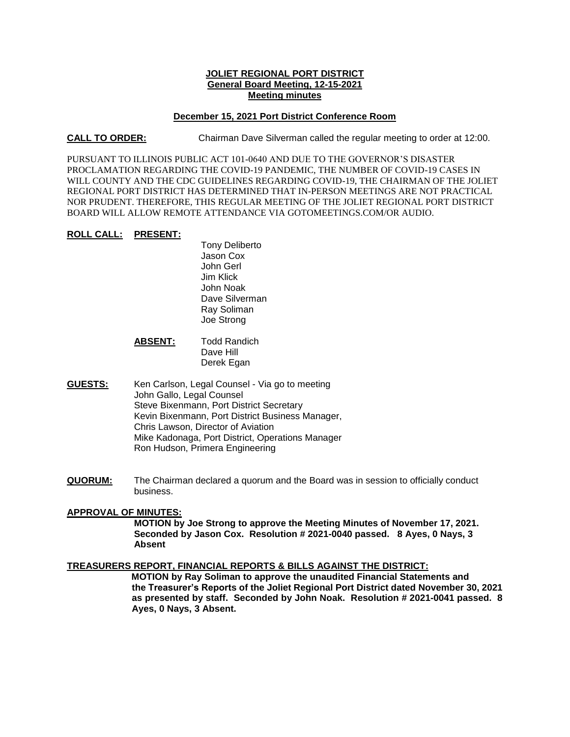# **JOLIET REGIONAL PORT DISTRICT General Board Meeting, 12-15-2021 Meeting minutes**

#### **December 15, 2021 Port District Conference Room**

**CALL TO ORDER:** Chairman Dave Silverman called the regular meeting to order at 12:00.

PURSUANT TO ILLINOIS PUBLIC ACT 101-0640 AND DUE TO THE GOVERNOR'S DISASTER PROCLAMATION REGARDING THE COVID-19 PANDEMIC, THE NUMBER OF COVID-19 CASES IN WILL COUNTY AND THE CDC GUIDELINES REGARDING COVID-19, THE CHAIRMAN OF THE JOLIET REGIONAL PORT DISTRICT HAS DETERMINED THAT IN-PERSON MEETINGS ARE NOT PRACTICAL NOR PRUDENT. THEREFORE, THIS REGULAR MEETING OF THE JOLIET REGIONAL PORT DISTRICT BOARD WILL ALLOW REMOTE ATTENDANCE VIA GOTOMEETINGS.COM/OR AUDIO.

#### **ROLL CALL: PRESENT:**

Tony Deliberto Jason Cox John Gerl Jim Klick John Noak Dave Silverman Ray Soliman Joe Strong

# **ABSENT:** Todd Randich Dave Hill Derek Egan

- **GUESTS:** Ken Carlson, Legal Counsel Via go to meeting John Gallo, Legal Counsel Steve Bixenmann, Port District Secretary Kevin Bixenmann, Port District Business Manager, Chris Lawson, Director of Aviation Mike Kadonaga, Port District, Operations Manager Ron Hudson, Primera Engineering
- **QUORUM:** The Chairman declared a quorum and the Board was in session to officially conduct business.

# **APPROVAL OF MINUTES:**

**MOTION by Joe Strong to approve the Meeting Minutes of November 17, 2021. Seconded by Jason Cox. Resolution # 2021-0040 passed. 8 Ayes, 0 Nays, 3 Absent**

# **TREASURERS REPORT, FINANCIAL REPORTS & BILLS AGAINST THE DISTRICT:**

 **MOTION by Ray Soliman to approve the unaudited Financial Statements and the Treasurer's Reports of the Joliet Regional Port District dated November 30, 2021 as presented by staff. Seconded by John Noak. Resolution # 2021-0041 passed. 8 Ayes, 0 Nays, 3 Absent.**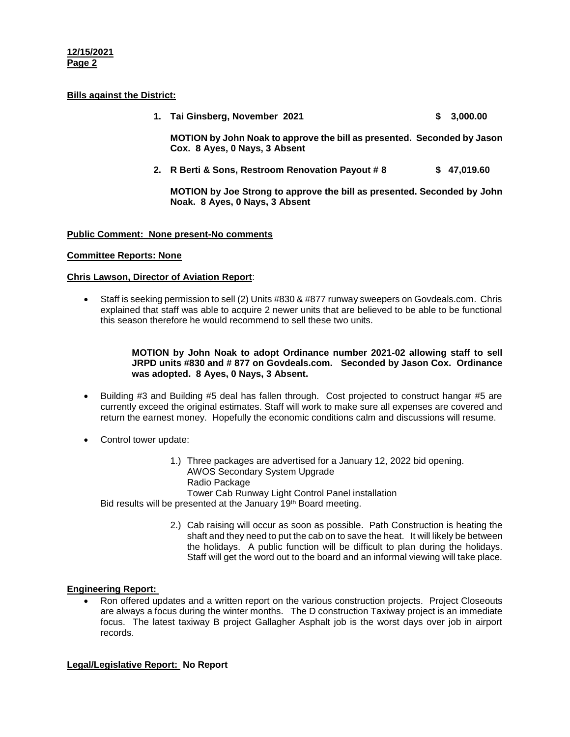#### **12/15/2021 Page 2**

# **Bills against the District:**

**1. Tai Ginsberg, November 2021 \$ 3,000.00**

**MOTION by John Noak to approve the bill as presented. Seconded by Jason Cox. 8 Ayes, 0 Nays, 3 Absent**

**2. R Berti & Sons, Restroom Renovation Payout # 8 \$ 47,019.60**

**MOTION by Joe Strong to approve the bill as presented. Seconded by John Noak. 8 Ayes, 0 Nays, 3 Absent**

# **Public Comment: None present-No comments**

# **Committee Reports: None**

#### **Chris Lawson, Director of Aviation Report**:

 Staff is seeking permission to sell (2) Units #830 & #877 runway sweepers on Govdeals.com. Chris explained that staff was able to acquire 2 newer units that are believed to be able to be functional this season therefore he would recommend to sell these two units.

#### **MOTION by John Noak to adopt Ordinance number 2021-02 allowing staff to sell JRPD units #830 and # 877 on Govdeals.com. Seconded by Jason Cox. Ordinance was adopted. 8 Ayes, 0 Nays, 3 Absent.**

- Building #3 and Building #5 deal has fallen through. Cost projected to construct hangar #5 are currently exceed the original estimates. Staff will work to make sure all expenses are covered and return the earnest money. Hopefully the economic conditions calm and discussions will resume.
- Control tower update:
	- 1.) Three packages are advertised for a January 12, 2022 bid opening. AWOS Secondary System Upgrade Radio Package Tower Cab Runway Light Control Panel installation

Bid results will be presented at the January 19<sup>th</sup> Board meeting.

2.) Cab raising will occur as soon as possible. Path Construction is heating the shaft and they need to put the cab on to save the heat. It will likely be between the holidays. A public function will be difficult to plan during the holidays. Staff will get the word out to the board and an informal viewing will take place.

# **Engineering Report:**

 Ron offered updates and a written report on the various construction projects. Project Closeouts are always a focus during the winter months. The D construction Taxiway project is an immediate focus. The latest taxiway B project Gallagher Asphalt job is the worst days over job in airport records.

# **Legal/Legislative Report: No Report**